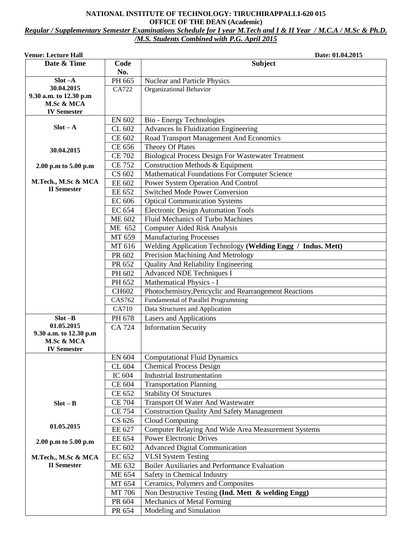## **NATIONAL INSTITUTE OF TECHNOLOGY: TIRUCHIRAPPALLI-620 015 OFFICE OF THE DEAN (Academic)** *Regular / Supplementary Semester Examinations Schedule for I year M.Tech and I & II Year / M.C.A / M.Sc & Ph.D. /M.S. Students Combined with P.G. April 2015*

| <b>Venue: Lecture Hall</b>           |                  | Date: 01.04.2015                                               |
|--------------------------------------|------------------|----------------------------------------------------------------|
| Date & Time                          | Code             | <b>Subject</b>                                                 |
|                                      | No.              |                                                                |
| $Slot -A$                            | PH 665           | Nuclear and Particle Physics                                   |
| 30.04.2015                           | CA722            | Organizational Behavior                                        |
| 9.30 a.m. to 12.30 p.m<br>M.Sc & MCA |                  |                                                                |
| <b>IV Semester</b>                   |                  |                                                                |
|                                      | <b>EN 602</b>    | Bio - Energy Technologies                                      |
| $Slot - A$                           | CL 602           | <b>Advances In Fluidization Engineering</b>                    |
|                                      | CE 602           | Road Transport Management And Economics                        |
|                                      | CE 656           | Theory Of Plates                                               |
| 30.04.2015                           | <b>CE 702</b>    | <b>Biological Process Design For Wastewater Treatment</b>      |
|                                      | <b>CE 752</b>    | Construction Methods & Equipment                               |
| 2.00 p.m to 5.00 p.m                 | CS 602           | Mathematical Foundations For Computer Science                  |
| M.Tech., M.Sc & MCA                  | EE 602           | Power System Operation And Control                             |
| <b>II</b> Semester                   | EE 652           | <b>Switched Mode Power Conversion</b>                          |
|                                      | <b>EC 606</b>    | <b>Optical Communication Systems</b>                           |
|                                      | EC 654           | <b>Electronic Design Automation Tools</b>                      |
|                                      | <b>ME 602</b>    | Fluid Mechanics of Turbo Machines                              |
|                                      | ME 652           |                                                                |
|                                      |                  | <b>Computer Aided Risk Analysis</b><br>Manufacturing Processes |
|                                      | MT 659<br>MT 616 |                                                                |
|                                      |                  | Welding Application Technology (Welding Engg / Indus. Mett)    |
|                                      | PR 602           | Precision Machining And Metrology                              |
|                                      | PR 652           | <b>Quality And Reliability Engineering</b>                     |
|                                      | PH 602           | <b>Advanced NDE Techniques I</b>                               |
|                                      | PH 652           | Mathematical Physics - I                                       |
|                                      | CH602            | Photochemistry, Pericyclic and Rearrangement Reactions         |
|                                      | CAS762           | Fundamental of Parallel Programming                            |
| $Slot - B$                           | CA710            | Data Structures and Application                                |
| 01.05.2015                           | PH 678           | <b>Lasers and Applications</b>                                 |
| 9.30 a.m. to 12.30 p.m               | <b>CA 724</b>    | <b>Information Security</b>                                    |
| M.Sc & MCA                           |                  |                                                                |
| <b>IV Semester</b>                   |                  |                                                                |
|                                      | EN 604           | <b>Computational Fluid Dynamics</b>                            |
|                                      | CL 604           | <b>Chemical Process Design</b>                                 |
|                                      | IC 604           | <b>Industrial Instrumentation</b>                              |
|                                      | CE 604           | <b>Transportation Planning</b>                                 |
|                                      | CE 652           | <b>Stability Of Structures</b>                                 |
| $Slot - B$                           | <b>CE 704</b>    | <b>Transport Of Water And Wastewater</b>                       |
|                                      | <b>CE 754</b>    | <b>Construction Quality And Safety Management</b>              |
|                                      | CS 626           | Cloud Computing                                                |
| 01.05.2015                           | EE 627           | Computer Relaying And Wide Area Measurement Systems            |
| 2.00 p.m to 5.00 p.m                 | EE 654           | <b>Power Electronic Drives</b>                                 |
|                                      | EC 602           | <b>Advanced Digital Communication</b>                          |
| M.Tech., M.Sc & MCA                  | EC 652           | <b>VLSI</b> System Testing                                     |
| <b>II</b> Semester                   | ME 632           | Boiler Auxiliaries and Performance Evaluation                  |
|                                      | ME 654           | Safety in Chemical Industry                                    |
|                                      | MT 654           | Ceramics, Polymers and Composites                              |
|                                      | MT 706           | Non Destructive Testing (Ind. Mett & welding Engg)             |
|                                      | PR 604           | Mechanics of Metal Forming                                     |
|                                      | PR 654           | Modeling and Simulation                                        |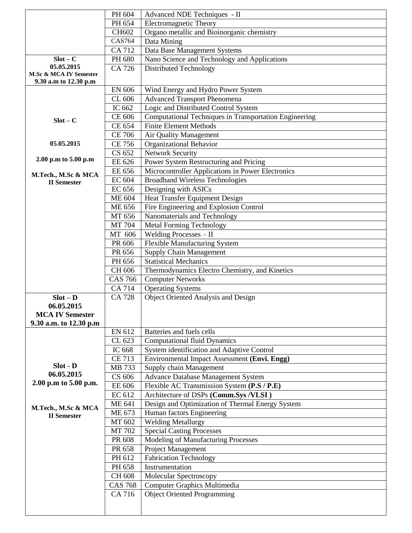|                                           | PH 604         | Advanced NDE Techniques - II                           |
|-------------------------------------------|----------------|--------------------------------------------------------|
|                                           | PH 654         | Electromagnetic Theory                                 |
|                                           | CH602          | Organo metallic and Bioinorganic chemistry             |
|                                           | <b>CAS764</b>  | Data Mining                                            |
|                                           | CA 712         | Data Base Management Systems                           |
| $Slot - C$                                | PH 680         | Nano Science and Technology and Applications           |
| 05.05.2015                                | CA 726         | <b>Distributed Technology</b>                          |
| M.Sc & MCA IV Semester                    |                |                                                        |
| 9.30 a.m to 12.30 p.m                     |                |                                                        |
|                                           | <b>EN 606</b>  | Wind Energy and Hydro Power System                     |
|                                           | CL 606         | <b>Advanced Transport Phenomena</b>                    |
|                                           | IC 662         | Logic and Distributed Control System                   |
| $Slot - C$                                | CE 606         | Computational Techniques in Transportation Engineering |
|                                           | CE 654         | <b>Finite Element Methods</b>                          |
|                                           | <b>CE 706</b>  | Air Quality Management                                 |
| 05.05.2015                                | <b>CE 756</b>  | <b>Organizational Behavior</b>                         |
|                                           | CS 652         | <b>Network Security</b>                                |
| 2.00 p.m to 5.00 p.m                      | EE 626         | Power System Restructuring and Pricing                 |
| M.Tech., M.Sc & MCA                       | EE 656         | Microcontroller Applications in Power Electronics      |
| <b>II</b> Semester                        | <b>EC 604</b>  | <b>Broadband Wireless Technologies</b>                 |
|                                           | <b>EC 656</b>  | Designing with ASICs                                   |
|                                           | <b>ME 604</b>  | <b>Heat Transfer Equipment Design</b>                  |
|                                           | <b>ME 656</b>  | Fire Engineering and Explosion Control                 |
|                                           | MT 656         | Nanomaterials and Technology                           |
|                                           | <b>MT 704</b>  | <b>Metal Forming Technology</b>                        |
|                                           | MT 606         | Welding Processes - II                                 |
|                                           | PR 606         | <b>Flexible Manufacturing System</b>                   |
|                                           | PR 656         | <b>Supply Chain Management</b>                         |
|                                           | PH 656         | <b>Statistical Mechanics</b>                           |
|                                           | CH 606         | Thermodynamics Electro Chemistry, and Kinetics         |
|                                           | <b>CAS 766</b> | <b>Computer Networks</b>                               |
|                                           | <b>CA 714</b>  | <b>Operating Systems</b>                               |
| $Slot - D$                                | <b>CA 728</b>  | <b>Object Oriented Analysis and Design</b>             |
| 06.05.2015                                |                |                                                        |
| <b>MCA IV Semester</b>                    |                |                                                        |
| 9.30 a.m. to 12.30 p.m                    |                |                                                        |
|                                           | EN 612         | Batteries and fuels cells                              |
|                                           | CL 623         | <b>Computational fluid Dynamics</b>                    |
|                                           | IC 668         | System identification and Adaptive Control             |
|                                           | <b>CE 713</b>  | Environmental Impact Assessment (Envi. Engg)           |
| Slot - D                                  | MB 733         | Supply chain Management                                |
| 06.05.2015                                | CS 606         | Advance Database Management System                     |
| 2.00 p.m to 5.00 p.m.                     | EE 606         | Flexible AC Transmission System (P.S / P.E)            |
|                                           | EC 612         | Architecture of DSPs (Comm.Sys /VLSI)                  |
|                                           | <b>ME 641</b>  | Design and Optimization of Thermal Energy System       |
| M.Tech., M.Sc & MCA<br><b>II</b> Semester | ME 673         | Human factors Engineering                              |
|                                           | MT 602         | <b>Welding Metallurgy</b>                              |
|                                           | MT 702         | <b>Special Casting Processes</b>                       |
|                                           | PR 608         | Modeling of Manufacturing Processes                    |
|                                           | PR 658         | Project Management                                     |
|                                           | PH 612         | <b>Fabrication Technology</b>                          |
|                                           | PH 658         | Instrumentation                                        |
|                                           | CH 608         | Molecular Spectroscopy                                 |
|                                           | <b>CAS 768</b> | Computer Graphics Multimedia                           |
|                                           | CA 716         | <b>Object Oriented Programming</b>                     |
|                                           |                |                                                        |
|                                           |                |                                                        |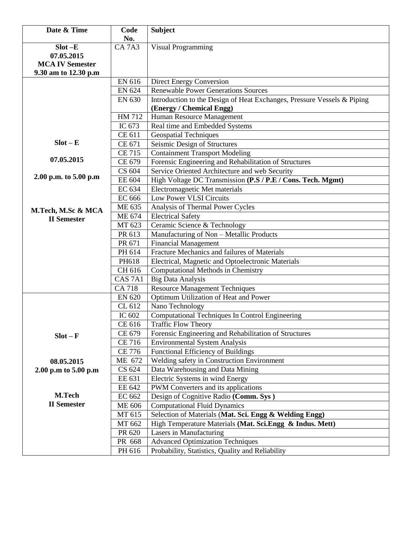| Date & Time            | Code                           | <b>Subject</b>                                                                                      |
|------------------------|--------------------------------|-----------------------------------------------------------------------------------------------------|
|                        | No.                            |                                                                                                     |
| $Slot - E$             | CA <sub>7</sub> A <sub>3</sub> | <b>Visual Programming</b>                                                                           |
| 07.05.2015             |                                |                                                                                                     |
| <b>MCA IV Semester</b> |                                |                                                                                                     |
| 9.30 am to 12.30 p.m   |                                |                                                                                                     |
|                        | EN 616                         | Direct Energy Conversion                                                                            |
|                        | <b>EN 624</b>                  | <b>Renewable Power Generations Sources</b>                                                          |
|                        | EN 630                         | Introduction to the Design of Heat Exchanges, Pressure Vessels & Piping<br>(Energy / Chemical Engg) |
|                        | HM 712                         | Human Resource Management                                                                           |
|                        | IC 673                         | Real time and Embedded Systems                                                                      |
|                        | CE 611                         | <b>Geospatial Techniques</b>                                                                        |
| $Slot - E$             | CE 671                         | Seismic Design of Structures                                                                        |
|                        | <b>CE 715</b>                  | <b>Containment Transport Modeling</b>                                                               |
| 07.05.2015             | CE 679                         | Forensic Engineering and Rehabilitation of Structures                                               |
|                        | CS 604                         | Service Oriented Architecture and web Security                                                      |
| 2.00 p.m. to 5.00 p.m  | EE 604                         | High Voltage DC Transmission (P.S / P.E / Cons. Tech. Mgmt)                                         |
|                        | EC 634                         | Electromagnetic Met materials                                                                       |
|                        | EC 666                         | Low Power VLSI Circuits                                                                             |
|                        | ME 635                         | Analysis of Thermal Power Cycles                                                                    |
| M.Tech, M.Sc & MCA     | ME 674                         | <b>Electrical Safety</b>                                                                            |
| <b>II</b> Semester     | MT 623                         | Ceramic Science & Technology                                                                        |
|                        | PR 613                         | Manufacturing of Non - Metallic Products                                                            |
|                        | PR 671                         | <b>Financial Management</b>                                                                         |
|                        | PH 614                         | Fracture Mechanics and failures of Materials                                                        |
|                        | PH618                          | Electrical, Magnetic and Optoelectronic Materials                                                   |
|                        | CH 616                         | Computational Methods in Chemistry                                                                  |
|                        | CAS <sub>7A1</sub>             | <b>Big Data Analysis</b>                                                                            |
|                        | <b>CA 718</b>                  | <b>Resource Management Techniques</b>                                                               |
|                        | <b>EN 620</b>                  | Optimum Utilization of Heat and Power                                                               |
|                        | CL 612                         | Nano Technology                                                                                     |
|                        | IC 602                         | Computational Techniques In Control Engineering                                                     |
|                        | CE 616                         | <b>Traffic Flow Theory</b>                                                                          |
| $Slot - F$             | CE 679                         | Forensic Engineering and Rehabilitation of Structures                                               |
|                        | <b>CE 716</b>                  | <b>Environmental System Analysis</b>                                                                |
|                        | <b>CE 776</b>                  | Functional Efficiency of Buildings                                                                  |
| 08.05.2015             | ME 672                         | Welding safety in Construction Environment                                                          |
| 2.00 p.m to 5.00 p.m   | CS 624                         | Data Warehousing and Data Mining                                                                    |
|                        | EE 631                         | Electric Systems in wind Energy                                                                     |
|                        | EE 642                         | PWM Converters and its applications                                                                 |
| M.Tech                 | EC 662                         | Design of Cognitive Radio (Comm. Sys)                                                               |
| <b>II</b> Semester     | <b>ME 606</b>                  | <b>Computational Fluid Dynamics</b>                                                                 |
|                        | MT 615                         | Selection of Materials (Mat. Sci. Engg & Welding Engg)                                              |
|                        | MT 662                         | High Temperature Materials (Mat. Sci.Engg & Indus. Mett)                                            |
|                        | PR 620                         | Lasers in Manufacturing                                                                             |
|                        | PR 668                         | <b>Advanced Optimization Techniques</b>                                                             |
|                        | PH 616                         | Probability, Statistics, Quality and Reliability                                                    |